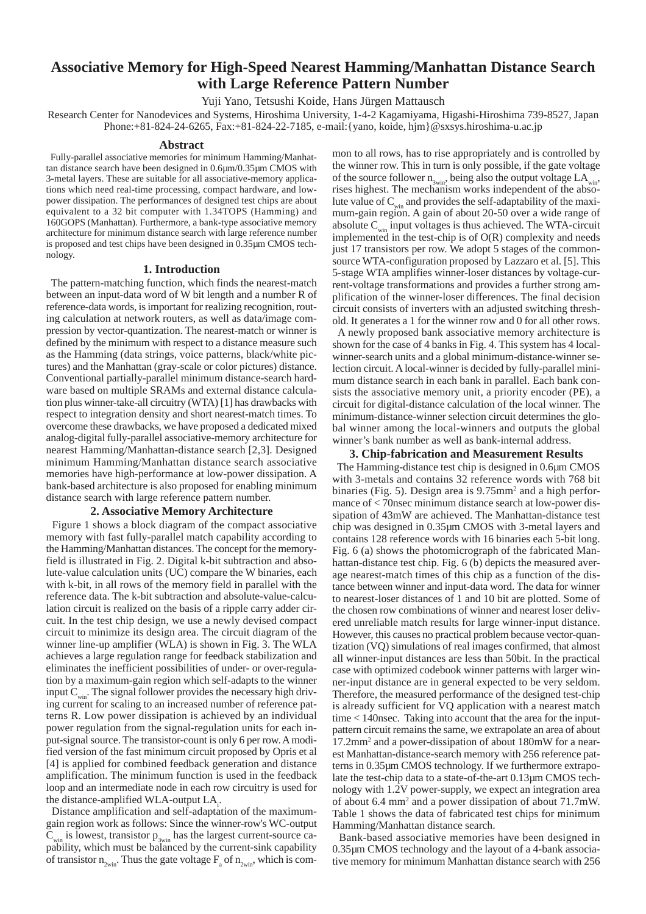# **Associative Memory for High-Speed Nearest Hamming/Manhattan Distance Search with Large Reference Pattern Number**

Yuji Yano, Tetsushi Koide, Hans Jürgen Mattausch

Research Center for Nanodevices and Systems, Hiroshima University, 1-4-2 Kagamiyama, Higashi-Hiroshima 739-8527, Japan Phone:+81-824-24-6265, Fax:+81-824-22-7185, e-mail:{yano, koide, hjm}@sxsys.hiroshima-u.ac.jp

#### **Abstract**

 Fully-parallel associative memories for minimum Hamming/Manhattan distance search have been designed in 0.6µm/0.35µm CMOS with 3-metal layers. These are suitable for all associative-memory applications which need real-time processing, compact hardware, and lowpower dissipation. The performances of designed test chips are about equivalent to a 32 bit computer with 1.34TOPS (Hamming) and 160GOPS (Manhattan). Furthermore, a bank-type associative memory architecture for minimum distance search with large reference number is proposed and test chips have been designed in 0.35µm CMOS technology.

## **1. Introduction**

 The pattern-matching function, which finds the nearest-match between an input-data word of W bit length and a number R of reference-data words, is important for realizing recognition, routing calculation at network routers, as well as data/image compression by vector-quantization. The nearest-match or winner is defined by the minimum with respect to a distance measure such as the Hamming (data strings, voice patterns, black/white pictures) and the Manhattan (gray-scale or color pictures) distance. Conventional partially-parallel minimum distance-search hardware based on multiple SRAMs and external distance calculation plus winner-take-all circuitry (WTA) [1] has drawbacks with respect to integration density and short nearest-match times. To overcome these drawbacks, we have proposed a dedicated mixed analog-digital fully-parallel associative-memory architecture for nearest Hamming/Manhattan-distance search [2,3]. Designed minimum Hamming/Manhattan distance search associative memories have high-performance at low-power dissipation. A bank-based architecture is also proposed for enabling minimum distance search with large reference pattern number.

# **2. Associative Memory Architecture**

 Figure 1 shows a block diagram of the compact associative memory with fast fully-parallel match capability according to the Hamming/Manhattan distances. The concept for the memoryfield is illustrated in Fig. 2. Digital k-bit subtraction and absolute-value calculation units (UC) compare the W binaries, each with k-bit, in all rows of the memory field in parallel with the reference data. The k-bit subtraction and absolute-value-calculation circuit is realized on the basis of a ripple carry adder circuit. In the test chip design, we use a newly devised compact circuit to minimize its design area. The circuit diagram of the winner line-up amplifier (WLA) is shown in Fig. 3. The WLA achieves a large regulation range for feedback stabilization and eliminates the inefficient possibilities of under- or over-regulation by a maximum-gain region which self-adapts to the winner input  $C_{win}$ . The signal follower provides the necessary high driving current for scaling to an increased number of reference patterns R. Low power dissipation is achieved by an individual power regulation from the signal-regulation units for each input-signal source. The transistor-count is only 6 per row. A modified version of the fast minimum circuit proposed by Opris et al [4] is applied for combined feedback generation and distance amplification. The minimum function is used in the feedback loop and an intermediate node in each row circuitry is used for the distance-amplified WLA-output LA.

 Distance amplification and self-adaptation of the maximumgain region work as follows: Since the winner-row's WC-output  $C_{win}$  is lowest, transistor  $p_{3win}$  has the largest current-source capability, which must be balanced by the current-sink capability of transistor  $n_{2\text{win}}$ . Thus the gate voltage  $F_a$  of  $n_{2\text{win}}$ , which is common to all rows, has to rise appropriately and is controlled by the winner row. This in turn is only possible, if the gate voltage of the source follower  $n_{\text{sun}}$ , being also the output voltage  $LA_{win}$ , rises highest. The mechanism works independent of the absolute value of  $C_{win}$  and provides the self-adaptability of the maximum-gain region. A gain of about 20-50 over a wide range of absolute  $C_{win}$  input voltages is thus achieved. The WTA-circuit implemented in the test-chip is of O(R) complexity and needs just 17 transistors per row. We adopt 5 stages of the commonsource WTA-configuration proposed by Lazzaro et al. [5]. This 5-stage WTA amplifies winner-loser distances by voltage-current-voltage transformations and provides a further strong amplification of the winner-loser differences. The final decision circuit consists of inverters with an adjusted switching threshold. It generates a 1 for the winner row and 0 for all other rows.

 A newly proposed bank associative memory architecture is shown for the case of 4 banks in Fig. 4. This system has 4 localwinner-search units and a global minimum-distance-winner selection circuit. A local-winner is decided by fully-parallel minimum distance search in each bank in parallel. Each bank consists the associative memory unit, a priority encoder (PE), a circuit for digital-distance calculation of the local winner. The minimum-distance-winner selection circuit determines the global winner among the local-winners and outputs the global winner's bank number as well as bank-internal address.

## **3. Chip-fabrication and Measurement Results**

 The Hamming-distance test chip is designed in 0.6µm CMOS with 3-metals and contains 32 reference words with 768 bit binaries (Fig. 5). Design area is 9.75mm<sup>2</sup> and a high performance of < 70nsec minimum distance search at low-power dissipation of 43mW are achieved. The Manhattan-distance test chip was designed in 0.35µm CMOS with 3-metal layers and contains 128 reference words with 16 binaries each 5-bit long. Fig. 6 (a) shows the photomicrograph of the fabricated Manhattan-distance test chip. Fig. 6 (b) depicts the measured average nearest-match times of this chip as a function of the distance between winner and input-data word. The data for winner to nearest-loser distances of 1 and 10 bit are plotted. Some of the chosen row combinations of winner and nearest loser delivered unreliable match results for large winner-input distance. However, this causes no practical problem because vector-quantization (VQ) simulations of real images confirmed, that almost all winner-input distances are less than 50bit. In the practical case with optimized codebook winner patterns with larger winner-input distance are in general expected to be very seldom. Therefore, the measured performance of the designed test-chip is already sufficient for VQ application with a nearest match time < 140nsec. Taking into account that the area for the inputpattern circuit remains the same, we extrapolate an area of about 17.2mm2 and a power-dissipation of about 180mW for a nearest Manhattan-distance-search memory with 256 reference patterns in 0.35µm CMOS technology. If we furthermore extrapolate the test-chip data to a state-of-the-art 0.13µm CMOS technology with 1.2V power-supply, we expect an integration area of about 6.4 mm<sup>2</sup> and a power dissipation of about 71.7mW. Table 1 shows the data of fabricated test chips for minimum Hamming/Manhattan distance search.

 Bank-based associative memories have been designed in 0.35µm CMOS technology and the layout of a 4-bank associative memory for minimum Manhattan distance search with 256